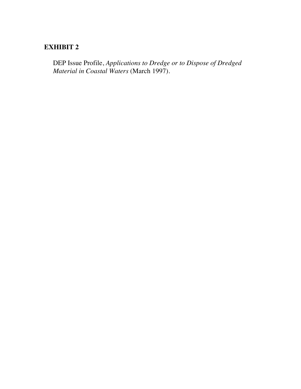# **EXHIBIT 2**

DEP Issue Profile, *Applications to Dredge or to Dispose of Dredged Material in Coastal Waters* (March 1997).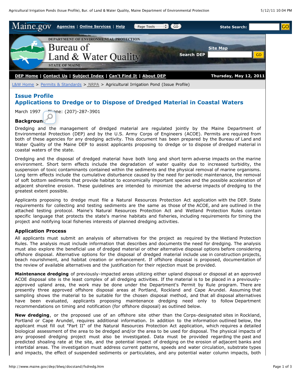

[L&W Home](http://www.maine.gov/dep/blwq/index.htm) > [Permits & Standards](http://www.maine.gov/dep/blwq/stand.htm) > [NRPA](http://www.maine.gov/dep/blwq/docstand/nrpapage.htm) > Agricultural Irrigation Pond (Issue Profile)

## **Issue Profile Applications to Dredge or to Dispose of Dredged Material in Coastal Waters**

March 1997 Phone: (207)-287-3901

### **Background**

Dredging and the management of dredged material are regulated jointly by the Maine Department of Environmental Protection (DEP) and by the U.S. Army Corps of Engineers (ACOE). Permits are required from both of these agencies for any dredging activity. This document has been prepared by the Bureau of Land and Water Quality of the Maine DEP to assist applicants proposing to dredge or to dispose of dredged material in coastal waters of the state.

Dredging and the disposal of dredged material have both long and short term adverse impacts on the marine environment. Short term effects include the degradation of water quality due to increased turbidity, the suspension of toxic contaminants contained within the sediments and the physical removal of marine organisms. Long term effects include the cumulative disturbance caused by the need for periodic maintenance, the removal of soft bottom sediments that provide habitat to economically important species and the possible acceleration of adjacent shoreline erosion. These guidelines are intended to minimize the adverse impacts of dredging to the greatest extent possible.

Applicants proposing to dredge must file a Natural Resources Protection Act application with the DEP. State requirements for collecting and testing sediments are the same as those of the ACOE, and are outlined in the attached testing protocol. Maine's Natural Resources Protection Act and Wetland Protection Rules contain specific language that protects the state's marine habitats and fisheries, including requirements for timing the project and notifying local fisheries interests of planned dredging activities.

#### **Application Process**

All applicants must submit an analysis of alternatives for the project as required by the Wetland Protection Rules. The analysis must include information that describes and documents the need for dredging. The analysis must also explore the beneficial use of dredged material or other alternative disposal options before considering offshore disposal. Alternative options for the disposal of dredged material include use in construction projects, beach nourishment, and habitat creation or enhancement. If offshore disposal is proposed, documentation of the review of available alternatives and the justification for their rejection must be provided.

**Maintenance dredging** of previously-impacted areas utilizing either upland disposal or disposal at an approved ACOE disposal site is the least complex of all dredging activities. If the material is to be placed in a previouslyapproved upland area, the work may be done under the Department's Permit by Rule program. There are presently three approved offshore disposal areas at Portland, Rockland and Cape Arundel. Assuming that sampling shows the material to be suitable for the chosen disposal method, and that all disposal alternatives have been evaluated, applicants proposing maintenance dredging need only to follow Department recommendations on timing and notification (for offshore disposal) as outlined below.

**New dredging**, or the proposed use of an offshore site other than the Corps-designated sites in Rockland, Portland or Cape Arundel, requires additional information. In addition to the information outlined below, the applicant must fill out "Part II" of the Natural Resources Protection Act application, which requires a detailed biological assessment of the area to be dredged and/or the area to be used for disposal. The physical impacts of any proposed dredging project must also be investigated. Data must be provided regarding the past and predicted shoaling rate at the site, and the potential impact of dredging on the erosion of adjacent banks and intertidal areas. The investigation must address current patterns, speeds and water circulation, substrate types and impacts, the effect of suspended sediments or particulates, and any potential water column impacts, both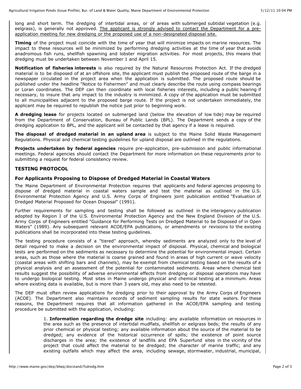long and short term. The dredging of intertidal areas, or of areas with submerged subtidal vegetation (e.g. eelgrass), is generally not approved. The applicant is strongly advised to contact the Department for a preapplication meeting for new dredging or the proposed use of a non-designated disposal site.

**Timing** of the project must coincide with the time of year that will minimize impacts on marine resources. The impact to these resources will be minimized by performing dredging activities at the time of year that avoids anadromous fish runs, shellfish spawning and lobster migration activities. For most projects, this means that dredging must be undertaken between November 1 and April 15.

**Notification of fisheries interests** is also required by the Natural Resources Protection Act. If the dredged material is to be disposed of at an offshore site, the applicant must publish the proposed route of the barge in a newspaper circulated in the project area when the application is submitted. The proposed route should be published under the headline "Notice to Fishermen" and must clearly describe the route using compass bearings or Loran coordinates. The DEP can then coordinate with local fisheries interests, including a public hearing if necessary, to insure that any impact to the industry is minimized. A copy of the application must be submitted to all municipalities adjacent to the proposed barge route. If the project is not undertaken immediately, the applicant may be required to republish the notice just prior to beginning work.

**A dredging lease** for projects located on submerged land (below the elevation of low tide) may be required from the Department of Conservation, Bureau of Public Lands (BPL). The Department sends a copy of the dredging application to BPL, and the applicant will be contacted by that agency if a lease is required.

**The disposal of dredged material in an upland area** is subject to the Maine Solid Waste Management Regulations. Physical and chemical testing guidelines for upland disposal are outlined in the regulations.

**Projects undertaken by federal agencies** require pre-application, pre-submission and public informational meetings. Federal agencies should contact the Department for more information on these requirements prior to submitting a request for federal consistency review.

#### **TESTING PROTOCOL**

#### **For Applicants Proposing to Dispose of Dredged Material in Coastal Waters**

The Maine Department of Environmental Protection requires that applicants and federal agencies proposing to dispose of dredged material in coastal waters sample and test the material as outlined in the U.S. Environmental Protection Agency and U.S. Army Corps of Engineers joint publication entitled "Evaluation of Dredged Material Proposed for Ocean Disposal" (1991).

Further requirements for sampling and testing shall be followed as outlined in the interagency publication adopted by Region I of the U.S. Environmental Protection Agency and the New England Division of the U.S. Army Corps of Engineers entitled "Guidance for Performing Tests on Dredged Material to be Disposed of in Open Waters" (1989). Any subsequent relevant ACOE/EPA publications, or amendments or revisions to the existing publications shall be incorporated into these testing guidelines.

The testing procedure consists of a "tiered" approach, whereby sediments are analyzed only to the level of detail required to make a decision on the environmental impact of disposal. Physical, chemical and biological tests are performed on the sediments as necessary to determine the potential for environmental impact. Certain areas, such as those where the material is coarse grained and found in areas of high current or wave velocity (coastal areas with shifting bars and channels), may be exempt from chemical testing based on the results of a physical analysis and an assessment of the potential for contaminated sediments. Areas where chemical test results suggest the possibility of adverse environmental effects from dredging or disposal operations may have to undergo biological testing. Most sites in Maine undergo physical and chemical testing at a minimum. Areas where existing data is available, but is more than 3 years old, may also need to be retested.

The DEP must often review applications for dredging prior to their approval by the Army Corps of Engineers (ACOE). The Department also maintains records of sediment sampling results for state waters. For these reasons, the Department requires that all information gathered in the ACOE/EPA sampling and testing procedure be submitted with the application, including:

> 1. **Information regarding the dredge site** including: any available information on resources in the area such as the presence of intertidal mudflats, shellfish or eelgrass beds; the results of any prior chemical or physical testing; any available information about the source of the material to be dredged; any evidence of the historical occurrence of spills; the existence of point source discharges in the area; the existence of landfills and EPA Superfund sites in the vicinity of the project that could affect the material to be dredged; the character of marine traffic; and any existing outfalls which may affect the area, including sewage, stormwater, industrial, municipal,